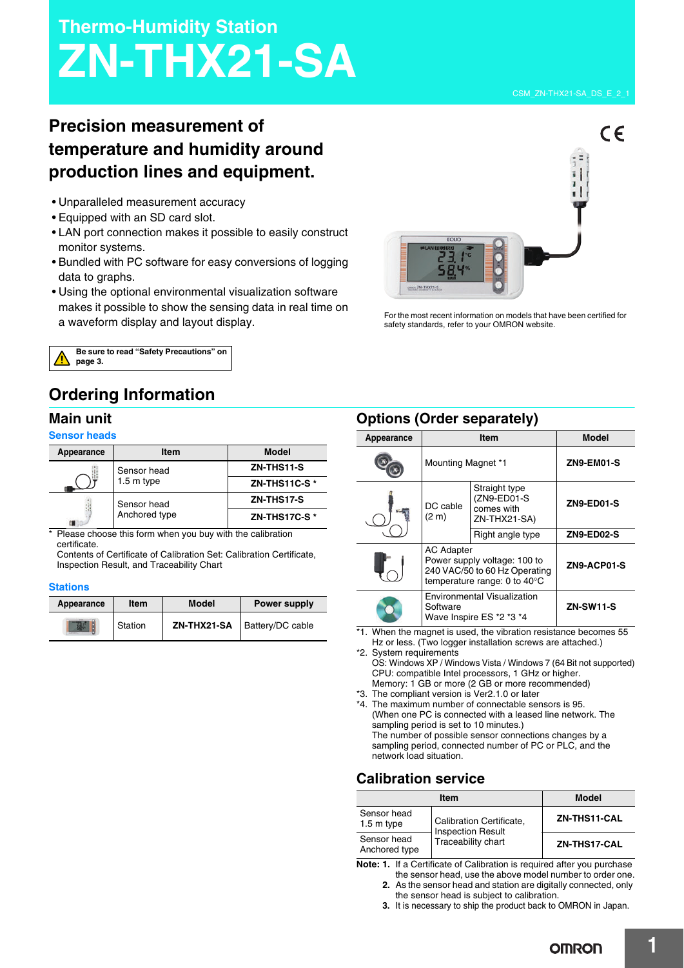# **Thermo-Humidity Station ZN-THX21-SA**

## **Precision measurement of temperature and humidity around production lines and equipment.**

- Unparalleled measurement accuracy
- Equipped with an SD card slot.
- LAN port connection makes it possible to easily construct monitor systems.
- Bundled with PC software for easy conversions of logging data to graphs.
- Using the optional environmental visualization software makes it possible to show the sensing data in real time on a waveform display and layout display.



For the most recent information on models that have been certified for safety standards, refer to your OMRON website.



### **Ordering Information**

### **Main unit**

### **Sensor heads**

| Appearance | <b>Item</b>                  | <b>Model</b> |
|------------|------------------------------|--------------|
|            | Sensor head<br>1.5 m type    | ZN-THS11-S   |
|            |                              | ZN-THS11C-S* |
|            | Sensor head<br>Anchored type | ZN-THS17-S   |
|            |                              | ZN-THS17C-S* |

\* Please choose this form when you buy with the calibration certificate.

Contents of Certificate of Calibration Set: Calibration Certificate, Inspection Result, and Traceability Chart

### **Stations**

| Appearance | <b>Item</b> | <b>Model</b> | <b>Power supply</b>     |
|------------|-------------|--------------|-------------------------|
|            | Station     | ZN-THX21-SA  | <b>Battery/DC cable</b> |

### **Options (Order separately)**

| Appearance |                                                                            | Item                                                                                          | <b>Model</b>      |
|------------|----------------------------------------------------------------------------|-----------------------------------------------------------------------------------------------|-------------------|
|            | Mounting Magnet *1                                                         |                                                                                               | ZN9-EM01-S        |
|            | DC cable<br>(2 <sub>m</sub> )                                              | Straight type<br>(ZN9-ED01-S<br>comes with<br>ZN-THX21-SA)                                    | <b>ZN9-ED01-S</b> |
|            |                                                                            | Right angle type                                                                              | <b>ZN9-ED02-S</b> |
|            | <b>AC Adapter</b>                                                          | Power supply voltage: 100 to<br>240 VAC/50 to 60 Hz Operating<br>temperature range: 0 to 40°C | ZN9-ACP01-S       |
|            | <b>Environmental Visualization</b><br>Software<br>Wave Inspire ES *2 *3 *4 |                                                                                               | <b>ZN-SW11-S</b>  |

\*1. When the magnet is used, the vibration resistance becomes 55 Hz or less. (Two logger installation screws are attached.)

\*2. System requirements OS: Windows XP / Windows Vista / Windows 7 (64 Bit not supported)

- CPU: compatible Intel processors, 1 GHz or higher. Memory: 1 GB or more (2 GB or more recommended)
- \*3. The compliant version is Ver2.1.0 or later

\*4. The maximum number of connectable sensors is 95. (When one PC is connected with a leased line network. The sampling period is set to 10 minutes.) The number of possible sensor connections changes by a sampling period, connected number of PC or PLC, and the network load situation.

### **Calibration service**

| <b>Item</b>                  |                                                      | <b>Model</b> |  |
|------------------------------|------------------------------------------------------|--------------|--|
| Sensor head<br>$1.5m$ type   | Calibration Certificate,<br><b>Inspection Result</b> | ZN-THS11-CAL |  |
| Sensor head<br>Anchored type | Traceability chart                                   | ZN-THS17-CAL |  |

**Note: 1.** If a Certificate of Calibration is required after you purchase

- the sensor head, use the above model number to order one. **2.** As the sensor head and station are digitally connected, only
- the sensor head is subject to calibration.
- **3.** It is necessary to ship the product back to OMRON in Japan.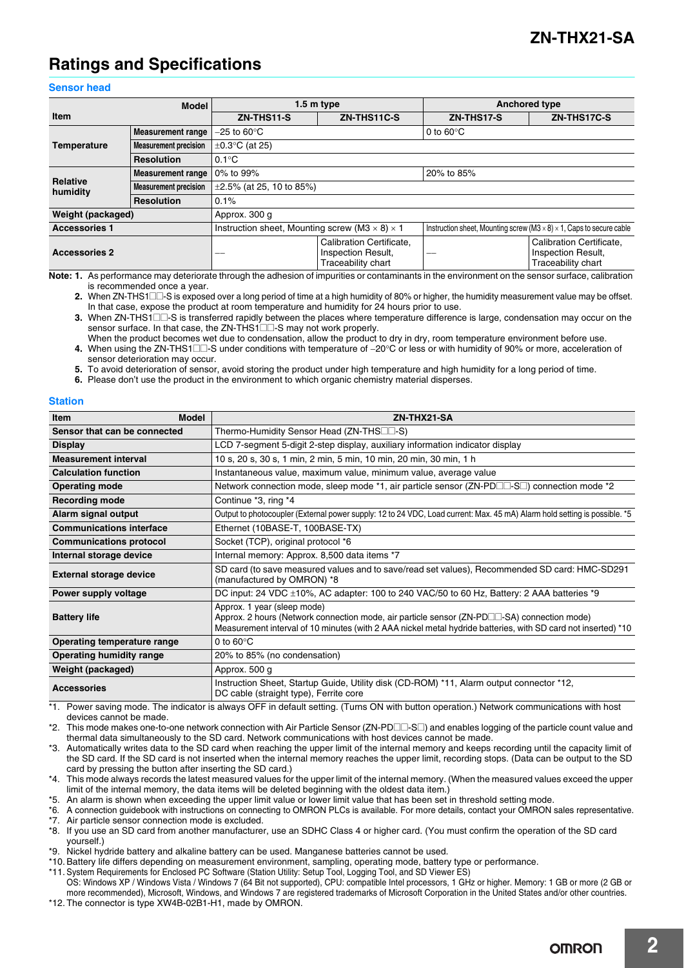### **Ratings and Specifications**

### **Sensor head**

| <b>Model</b>                |                              | $1.5m$ type                                                  |                                                                      | <b>Anchored type</b>                                                               |                                                                      |
|-----------------------------|------------------------------|--------------------------------------------------------------|----------------------------------------------------------------------|------------------------------------------------------------------------------------|----------------------------------------------------------------------|
|                             |                              |                                                              |                                                                      |                                                                                    |                                                                      |
| <b>Item</b>                 |                              | ZN-THS11-S                                                   | ZN-THS11C-S                                                          | ZN-THS17-S                                                                         | ZN-THS17C-S                                                          |
| <b>Temperature</b>          | <b>Measurement range</b>     | $-25$ to 60 $\degree$ C                                      |                                                                      | 0 to $60^{\circ}$ C                                                                |                                                                      |
|                             | <b>Measurement precision</b> | $\pm 0.3$ °C (at 25)                                         |                                                                      |                                                                                    |                                                                      |
|                             | <b>Resolution</b>            | $0.1^{\circ}$ C                                              |                                                                      |                                                                                    |                                                                      |
| <b>Relative</b><br>humidity | <b>Measurement range</b>     | 0% to 99%                                                    |                                                                      | 20% to 85%                                                                         |                                                                      |
|                             | <b>Measurement precision</b> | $\pm 2.5\%$ (at 25, 10 to 85%)                               |                                                                      |                                                                                    |                                                                      |
|                             | <b>Resolution</b>            | 0.1%                                                         |                                                                      |                                                                                    |                                                                      |
| Weight (packaged)           |                              | Approx. 300 g                                                |                                                                      |                                                                                    |                                                                      |
| <b>Accessories 1</b>        |                              | Instruction sheet, Mounting screw (M3 $\times$ 8) $\times$ 1 |                                                                      | Instruction sheet, Mounting screw (M3 $\times$ 8) $\times$ 1, Caps to secure cable |                                                                      |
| <b>Accessories 2</b>        |                              |                                                              | Calibration Certificate.<br>Inspection Result,<br>Traceability chart | ---                                                                                | Calibration Certificate.<br>Inspection Result,<br>Traceability chart |

**Note: 1.** As performance may deteriorate through the adhesion of impurities or contaminants in the environment on the sensor surface, calibration is recommended once a year.

2. When ZN-THS1 $\square$  S is exposed over a long period of time at a high humidity of 80% or higher, the humidity measurement value may be offset. In that case, expose the product at room temperature and humidity for 24 hours prior to use.

**3.** When ZN-THS1<sup> $\Box$ </sup>S is transferred rapidly between the places where temperature difference is large, condensation may occur on the sensor surface. In that case, the ZN-THS1<sup>1</sup>S may not work properly.

**5.** To avoid deterioration of sensor, avoid storing the product under high temperature and high humidity for a long period of time.

**6.** Please don't use the product in the environment to which organic chemistry material disperses.

#### **Station**

| <b>Model</b><br><b>Item</b>     | ZN-THX21-SA                                                                                                                                                                                                                                 |  |
|---------------------------------|---------------------------------------------------------------------------------------------------------------------------------------------------------------------------------------------------------------------------------------------|--|
| Sensor that can be connected    | Thermo-Humidity Sensor Head (ZN-THS <sup>II</sup> -S)                                                                                                                                                                                       |  |
| <b>Display</b>                  | LCD 7-segment 5-digit 2-step display, auxiliary information indicator display                                                                                                                                                               |  |
| <b>Measurement interval</b>     | 10 s, 20 s, 30 s, 1 min, 2 min, 5 min, 10 min, 20 min, 30 min, 1 h                                                                                                                                                                          |  |
| <b>Calculation function</b>     | Instantaneous value, maximum value, minimum value, average value                                                                                                                                                                            |  |
| <b>Operating mode</b>           | Network connection mode, sleep mode *1, air particle sensor (ZN-PD $\Box$ -S $\Box$ ) connection mode *2                                                                                                                                    |  |
| <b>Recording mode</b>           | Continue *3, ring *4                                                                                                                                                                                                                        |  |
| Alarm signal output             | Output to photocoupler (External power supply: 12 to 24 VDC, Load current: Max. 45 mA) Alarm hold setting is possible. *5                                                                                                                   |  |
| <b>Communications interface</b> | Ethernet (10BASE-T, 100BASE-TX)                                                                                                                                                                                                             |  |
| <b>Communications protocol</b>  | Socket (TCP), original protocol *6                                                                                                                                                                                                          |  |
| Internal storage device         | Internal memory: Approx. 8,500 data items *7                                                                                                                                                                                                |  |
| <b>External storage device</b>  | SD card (to save measured values and to save/read set values), Recommended SD card: HMC-SD291<br>(manufactured by OMRON) *8                                                                                                                 |  |
| Power supply voltage            | DC input: 24 VDC $\pm 10\%$ , AC adapter: 100 to 240 VAC/50 to 60 Hz, Battery: 2 AAA batteries *9                                                                                                                                           |  |
| <b>Battery life</b>             | Approx. 1 year (sleep mode)<br>Approx. 2 hours (Network connection mode, air particle sensor (ZN-PD□□-SA) connection mode)<br>Measurement interval of 10 minutes (with 2 AAA nickel metal hydride batteries, with SD card not inserted) *10 |  |
| Operating temperature range     | 0 to $60^{\circ}$ C                                                                                                                                                                                                                         |  |
| <b>Operating humidity range</b> | 20% to 85% (no condensation)                                                                                                                                                                                                                |  |
| Weight (packaged)               | Approx. 500 g                                                                                                                                                                                                                               |  |
| <b>Accessories</b>              | Instruction Sheet, Startup Guide, Utility disk (CD-ROM) *11, Alarm output connector *12,<br>DC cable (straight type), Ferrite core                                                                                                          |  |

\*1. Power saving mode. The indicator is always OFF in default setting. (Turns ON with button operation.) Network communications with host devices cannot be made.

\*2. This mode makes one-to-one network connection with Air Particle Sensor (ZN-PDCC-SC) and enables logging of the particle count value and thermal data simultaneously to the SD card. Network communications with host devices cannot be made.

\*3. Automatically writes data to the SD card when reaching the upper limit of the internal memory and keeps recording until the capacity limit of the SD card. If the SD card is not inserted when the internal memory reaches the upper limit, recording stops. (Data can be output to the SD card by pressing the button after inserting the SD card.)

\*4. This mode always records the latest measured values for the upper limit of the internal memory. (When the measured values exceed the upper limit of the internal memory, the data items will be deleted beginning with the oldest data item.)

\*5. An alarm is shown when exceeding the upper limit value or lower limit value that has been set in threshold setting mode.

\*6. A connection guidebook with instructions on connecting to OMRON PLCs is available. For more details, contact your OMRON sales representative. \*7. Air particle sensor connection mode is excluded.

\*8. If you use an SD card from another manufacturer, use an SDHC Class 4 or higher card. (You must confirm the operation of the SD card yourself.)

\*9. Nickel hydride battery and alkaline battery can be used. Manganese batteries cannot be used.

\*10. Battery life differs depending on measurement environment, sampling, operating mode, battery type or performance.

\*11. System Requirements for Enclosed PC Software (Station Utility: Setup Tool, Logging Tool, and SD Viewer ES)

OS: Windows XP / Windows Vista / Windows 7 (64 Bit not supported), CPU: compatible Intel processors, 1 GHz or higher. Memory: 1 GB or more (2 GB or more recommended), Microsoft, Windows, and Windows 7 are registered trademarks of Microsoft Corporation in the United States and/or other countries. \*12. The connector is type XW4B-02B1-H1, made by OMRON.

When the product becomes wet due to condensation, allow the product to dry in dry, room temperature environment before use. **4.** When using the ZN-THS1 $\square$  S under conditions with temperature of -20°C or less or with humidity of 90% or more, acceleration of sensor deterioration may occur.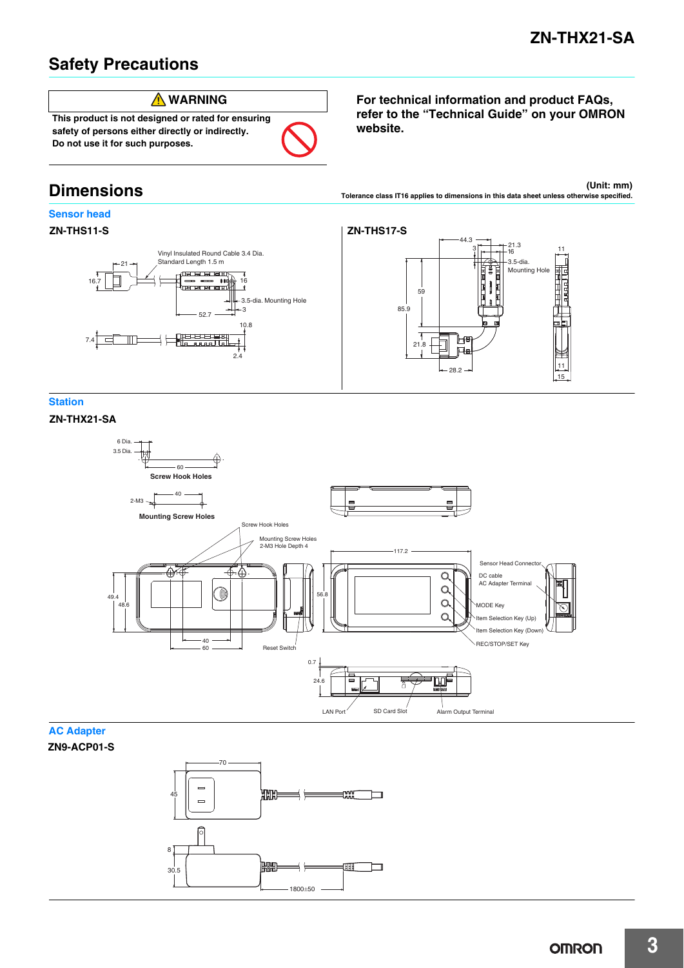### **Safety Precautions**



**safety of persons either directly or indirectly. Do not use it for such purposes.**

### **Dimensions**

### **Sensor head**

### **ZN-THS11-S**



**For technical information and product FAQs, refer to the "Technical Guide" on your OMRON website.**

**(Unit: mm) Tolerance class IT16 applies to dimensions in this data sheet unless otherwise specified.**



### **Station**

**ZN-THX21-SA**



### **AC Adapter**

**ZN9-ACP01-S**